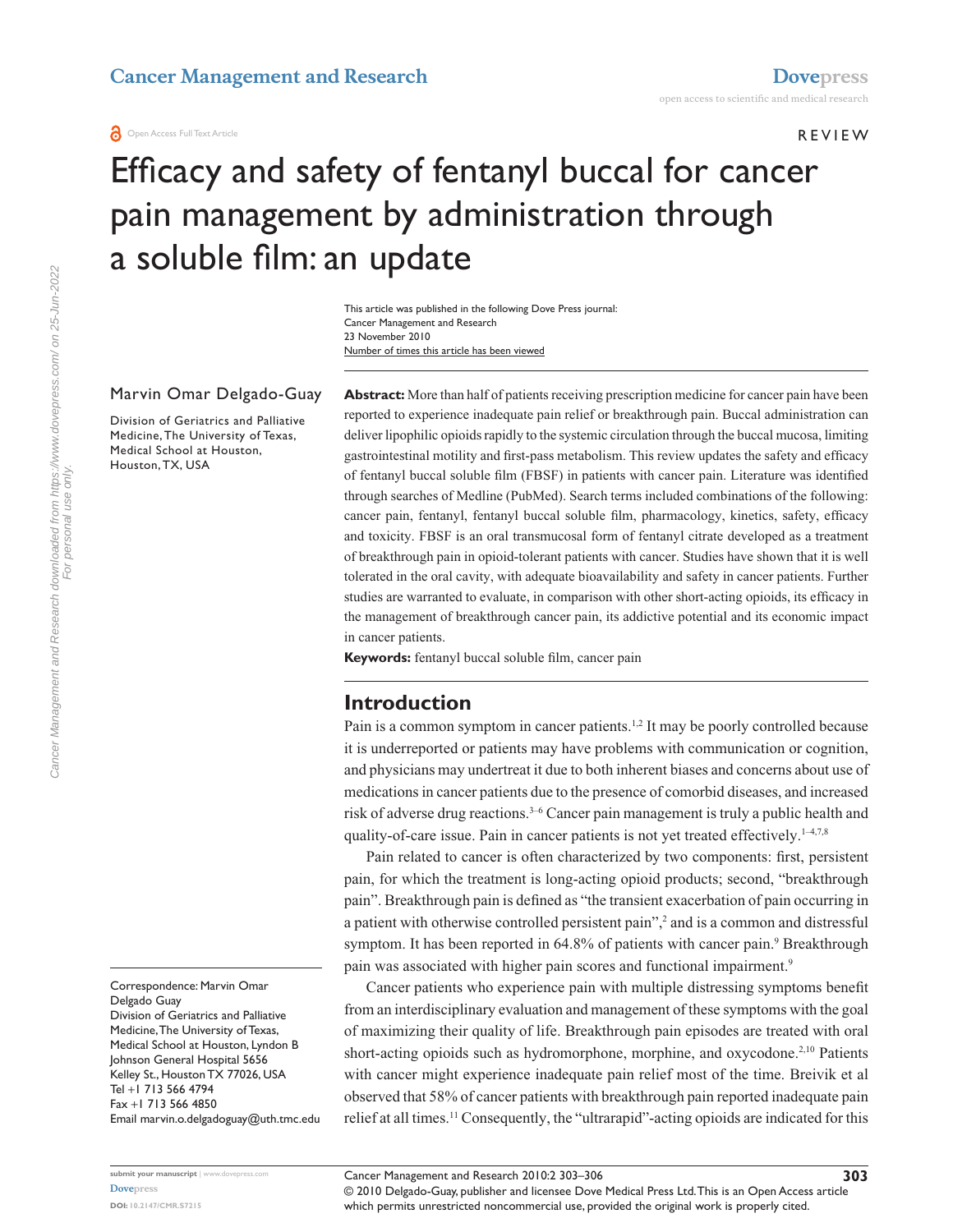**O** Open Access Full Text Article

Review

# Efficacy and safety of fentanyl buccal for cancer pain management by administration through a soluble film: an update

Number of times this article has been viewed This article was published in the following Dove Press journal: Cancer Management and Research 23 November 2010

#### Marvin Omar Delgado-Guay

Division of Geriatrics and Palliative Medicine, The University of Texas, Medical School at Houston, Houston, TX, USA

**Abstract:** More than half of patients receiving prescription medicine for cancer pain have been reported to experience inadequate pain relief or breakthrough pain. Buccal administration can deliver lipophilic opioids rapidly to the systemic circulation through the buccal mucosa, limiting gastrointestinal motility and first-pass metabolism. This review updates the safety and efficacy of fentanyl buccal soluble film (FBSF) in patients with cancer pain. Literature was identified through searches of Medline (PubMed). Search terms included combinations of the following: cancer pain, fentanyl, fentanyl buccal soluble film, pharmacology, kinetics, safety, efficacy and toxicity. FBSF is an oral transmucosal form of fentanyl citrate developed as a treatment of breakthrough pain in opioid-tolerant patients with cancer. Studies have shown that it is well tolerated in the oral cavity, with adequate bioavailability and safety in cancer patients. Further studies are warranted to evaluate, in comparison with other short-acting opioids, its efficacy in the management of breakthrough cancer pain, its addictive potential and its economic impact in cancer patients.

**Keywords:** fentanyl buccal soluble film, cancer pain

#### **Introduction**

Pain is a common symptom in cancer patients.<sup>1,2</sup> It may be poorly controlled because it is underreported or patients may have problems with communication or cognition, and physicians may undertreat it due to both inherent biases and concerns about use of medications in cancer patients due to the presence of comorbid diseases, and increased risk of adverse drug reactions.<sup>3-6</sup> Cancer pain management is truly a public health and quality-of-care issue. Pain in cancer patients is not yet treated effectively. $1-4,7,8$ 

Pain related to cancer is often characterized by two components: first, persistent pain, for which the treatment is long-acting opioid products; second, "breakthrough pain". Breakthrough pain is defined as "the transient exacerbation of pain occurring in a patient with otherwise controlled persistent pain",<sup>2</sup> and is a common and distressful symptom. It has been reported in 64.8% of patients with cancer pain.<sup>9</sup> Breakthrough pain was associated with higher pain scores and functional impairment.<sup>9</sup>

Cancer patients who experience pain with multiple distressing symptoms benefit from an interdisciplinary evaluation and management of these symptoms with the goal of maximizing their quality of life. Breakthrough pain episodes are treated with oral short-acting opioids such as hydromorphone, morphine, and oxycodone.<sup>2,10</sup> Patients with cancer might experience inadequate pain relief most of the time. Breivik et al observed that 58% of cancer patients with breakthrough pain reported inadequate pain relief at all times.11 Consequently, the "ultrarapid"-acting opioids are indicated for this

Cancer Management and Research downloaded from https://www.dovepress.com/ on 25-Jun-2022 Cancer Management and Research downloaded from https://www.dovepress.com/ on 25-Jun-2022 For personal use only. For personal use only

> Correspondence: Marvin Omar Delgado Guay Division of Geriatrics and Palliative Medicine, The University of Texas, Medical School at Houston, Lyndon B Johnson General Hospital 5656 Kelley St., Houston TX 77026, USA Tel +1 713 566 4794 Fax +1 713 566 4850 Email [marvin.o.delgadoguay@uth.tmc.edu](mailto:marvin.o.delgadoguay@uth.tmc.edu)

**303**

which permits unrestricted noncommercial use, provided the original work is properly cited.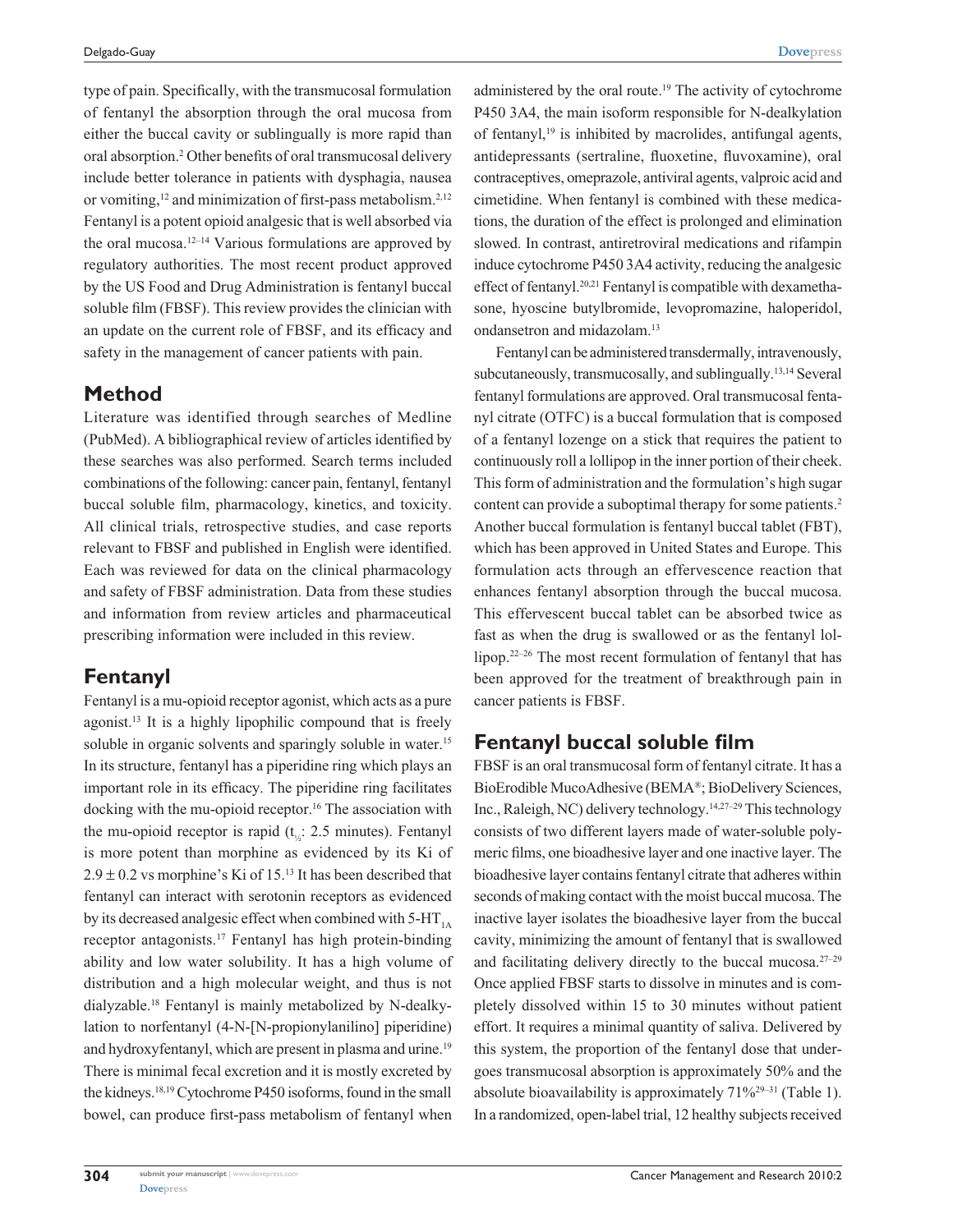type of pain. Specifically, with the transmucosal formulation of fentanyl the absorption through the oral mucosa from either the buccal cavity or sublingually is more rapid than oral absorption.2 Other benefits of oral transmucosal delivery include better tolerance in patients with dysphagia, nausea or vomiting,<sup>12</sup> and minimization of first-pass metabolism.<sup>2,12</sup> Fentanyl is a potent opioid analgesic that is well absorbed via the oral mucosa.<sup>12–14</sup> Various formulations are approved by regulatory authorities. The most recent product approved by the US Food and Drug Administration is fentanyl buccal soluble film (FBSF). This review provides the clinician with an update on the current role of FBSF, and its efficacy and safety in the management of cancer patients with pain.

# **Method**

Literature was identified through searches of Medline (PubMed). A bibliographical review of articles identified by these searches was also performed. Search terms included combinations of the following: cancer pain, fentanyl, fentanyl buccal soluble film, pharmacology, kinetics, and toxicity. All clinical trials, retrospective studies, and case reports relevant to FBSF and published in English were identified. Each was reviewed for data on the clinical pharmacology and safety of FBSF administration. Data from these studies and information from review articles and pharmaceutical prescribing information were included in this review.

## **Fentanyl**

Fentanyl is a mu-opioid receptor agonist, which acts as a pure agonist.13 It is a highly lipophilic compound that is freely soluble in organic solvents and sparingly soluble in water.<sup>15</sup> In its structure, fentanyl has a piperidine ring which plays an important role in its efficacy. The piperidine ring facilitates docking with the mu-opioid receptor.<sup>16</sup> The association with the mu-opioid receptor is rapid ( $t_{1/2}$ : 2.5 minutes). Fentanyl is more potent than morphine as evidenced by its Ki of  $2.9 \pm 0.2$  vs morphine's Ki of 15.<sup>13</sup> It has been described that fentanyl can interact with serotonin receptors as evidenced by its decreased analgesic effect when combined with  $5-HT<sub>1A</sub>$ receptor antagonists.17 Fentanyl has high protein-binding ability and low water solubility. It has a high volume of distribution and a high molecular weight, and thus is not dialyzable.18 Fentanyl is mainly metabolized by N-dealkylation to norfentanyl (4-N-[N-propionylanilino] piperidine) and hydroxyfentanyl, which are present in plasma and urine.<sup>19</sup> There is minimal fecal excretion and it is mostly excreted by the kidneys.18,19 Cytochrome P450 isoforms, found in the small bowel, can produce first-pass metabolism of fentanyl when

administered by the oral route.<sup>19</sup> The activity of cytochrome P450 3A4, the main isoform responsible for N-dealkylation of fentanyl, $19$  is inhibited by macrolides, antifungal agents, antidepressants (sertraline, fluoxetine, fluvoxamine), oral contraceptives, omeprazole, antiviral agents, valproic acid and cimetidine. When fentanyl is combined with these medications, the duration of the effect is prolonged and elimination slowed. In contrast, antiretroviral medications and rifampin induce cytochrome P450 3A4 activity, reducing the analgesic effect of fentanyl.20,21 Fentanyl is compatible with dexamethasone, hyoscine butylbromide, levopromazine, haloperidol, ondansetron and midazolam.13

Fentanyl can be administered transdermally, intravenously, subcutaneously, transmucosally, and sublingually.13,14 Several fentanyl formulations are approved. Oral transmucosal fentanyl citrate (OTFC) is a buccal formulation that is composed of a fentanyl lozenge on a stick that requires the patient to continuously roll a lollipop in the inner portion of their cheek. This form of administration and the formulation's high sugar content can provide a suboptimal therapy for some patients.<sup>2</sup> Another buccal formulation is fentanyl buccal tablet (FBT), which has been approved in United States and Europe. This formulation acts through an effervescence reaction that enhances fentanyl absorption through the buccal mucosa. This effervescent buccal tablet can be absorbed twice as fast as when the drug is swallowed or as the fentanyl lollipop.22–26 The most recent formulation of fentanyl that has been approved for the treatment of breakthrough pain in cancer patients is FBSF.

# **Fentanyl buccal soluble film**

FBSF is an oral transmucosal form of fentanyl citrate. It has a BioErodible MucoAdhesive (BEMA®; BioDelivery Sciences, Inc., Raleigh, NC) delivery technology.14,27–29 This technology consists of two different layers made of water-soluble polymeric films, one bioadhesive layer and one inactive layer. The bioadhesive layer contains fentanyl citrate that adheres within seconds of making contact with the moist buccal mucosa. The inactive layer isolates the bioadhesive layer from the buccal cavity, minimizing the amount of fentanyl that is swallowed and facilitating delivery directly to the buccal mucosa. $27-29$ Once applied FBSF starts to dissolve in minutes and is completely dissolved within 15 to 30 minutes without patient effort. It requires a minimal quantity of saliva. Delivered by this system, the proportion of the fentanyl dose that undergoes transmucosal absorption is approximately 50% and the absolute bioavailability is approximately  $71\%^{29-31}$  (Table 1). In a randomized, open-label trial, 12 healthy subjects received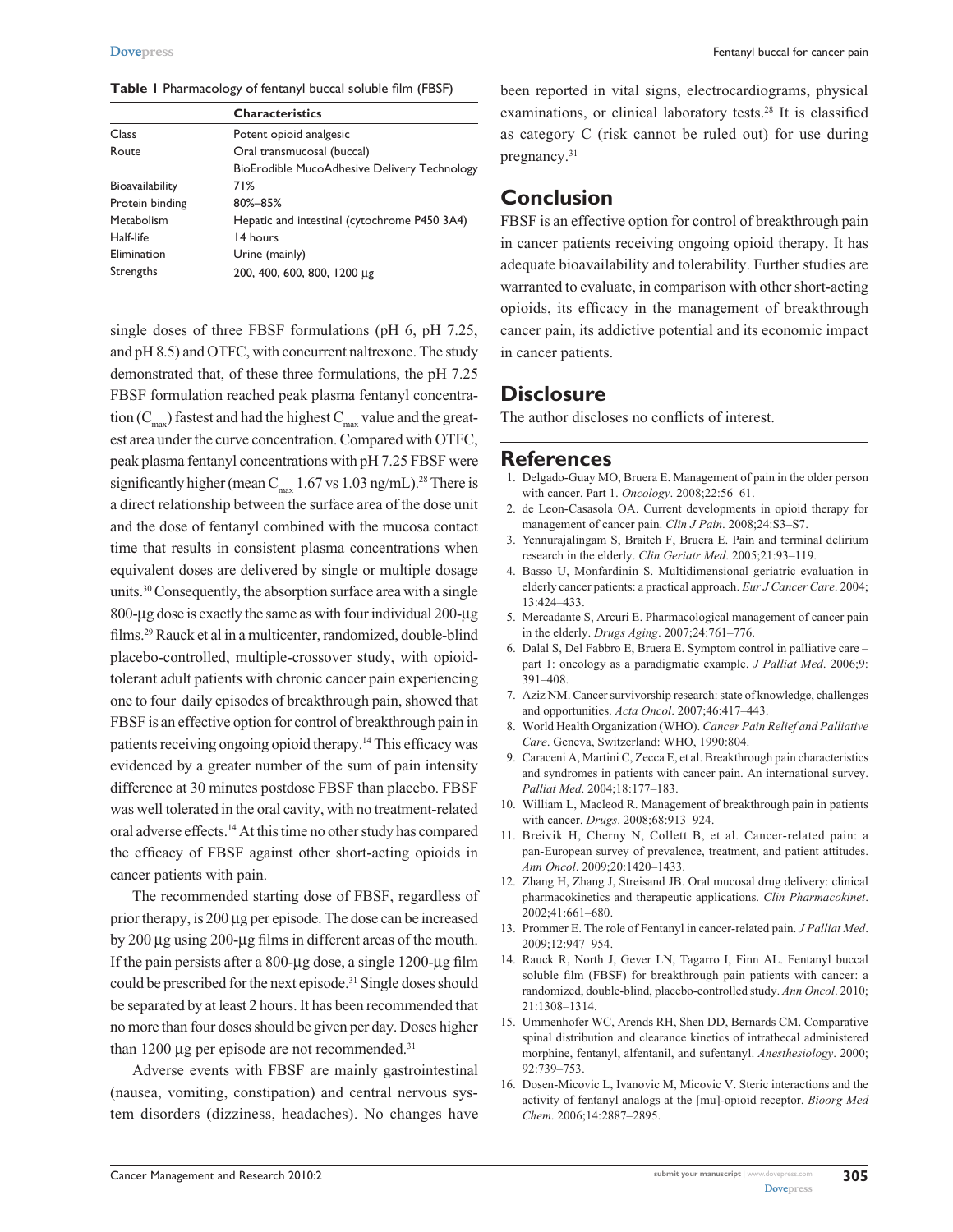|  |  | Table I Pharmacology of fentanyl buccal soluble film (FBSF) |  |  |  |  |  |  |  |
|--|--|-------------------------------------------------------------|--|--|--|--|--|--|--|
|--|--|-------------------------------------------------------------|--|--|--|--|--|--|--|

|                        | <b>Characteristics</b>                       |  |  |  |  |
|------------------------|----------------------------------------------|--|--|--|--|
| Class                  | Potent opioid analgesic                      |  |  |  |  |
| Route                  | Oral transmucosal (buccal)                   |  |  |  |  |
|                        | BioErodible MucoAdhesive Delivery Technology |  |  |  |  |
| <b>Bioavailability</b> | 71%                                          |  |  |  |  |
| Protein binding        | 80%-85%                                      |  |  |  |  |
| Metabolism             | Hepatic and intestinal (cytochrome P450 3A4) |  |  |  |  |
| Half-life              | 14 hours                                     |  |  |  |  |
| Elimination            | Urine (mainly)                               |  |  |  |  |
| Strengths              | 200, 400, 600, 800, 1200 µg                  |  |  |  |  |
|                        |                                              |  |  |  |  |

single doses of three FBSF formulations (pH 6, pH 7.25, and pH 8.5) and OTFC, with concurrent naltrexone. The study demonstrated that, of these three formulations, the pH 7.25 FBSF formulation reached peak plasma fentanyl concentration  $(C_{\text{max}})$  fastest and had the highest  $C_{\text{max}}$  value and the greatest area under the curve concentration. Compared with OTFC, peak plasma fentanyl concentrations with pH 7.25 FBSF were significantly higher (mean  $C_{\text{max}}$  1.67 vs 1.03 ng/mL).<sup>28</sup> There is a direct relationship between the surface area of the dose unit and the dose of fentanyl combined with the mucosa contact time that results in consistent plasma concentrations when equivalent doses are delivered by single or multiple dosage units.30 Consequently, the absorption surface area with a single 800-µg dose is exactly the same as with four individual 200-µg films.29 Rauck et al in a multicenter, randomized, double-blind placebo-controlled, multiple-crossover study, with opioidtolerant adult patients with chronic cancer pain experiencing one to four daily episodes of breakthrough pain, showed that FBSF is an effective option for control of breakthrough pain in patients receiving ongoing opioid therapy.14 This efficacy was evidenced by a greater number of the sum of pain intensity difference at 30 minutes postdose FBSF than placebo. FBSF was well tolerated in the oral cavity, with no treatment-related oral adverse effects.14 At this time no other study has compared the efficacy of FBSF against other short-acting opioids in cancer patients with pain.

The recommended starting dose of FBSF, regardless of prior therapy, is 200 µg per episode. The dose can be increased by 200 µg using 200-µg films in different areas of the mouth. If the pain persists after a 800-µg dose, a single 1200-µg film could be prescribed for the next episode.31 Single doses should be separated by at least 2 hours. It has been recommended that no more than four doses should be given per day. Doses higher than 1200  $\mu$ g per episode are not recommended.<sup>31</sup>

Adverse events with FBSF are mainly gastrointestinal (nausea, vomiting, constipation) and central nervous system disorders (dizziness, headaches). No changes have been reported in vital signs, electrocardiograms, physical examinations, or clinical laboratory tests.28 It is classified as category C (risk cannot be ruled out) for use during pregnancy.<sup>31</sup>

## **Conclusion**

FBSF is an effective option for control of breakthrough pain in cancer patients receiving ongoing opioid therapy. It has adequate bioavailability and tolerability. Further studies are warranted to evaluate, in comparison with other short-acting opioids, its efficacy in the management of breakthrough cancer pain, its addictive potential and its economic impact in cancer patients.

#### **Disclosure**

The author discloses no conflicts of interest.

#### **References**

- 1. Delgado-Guay MO, Bruera E. Management of pain in the older person with cancer. Part 1. *Oncology*. 2008;22:56–61.
- 2. de Leon-Casasola OA. Current developments in opioid therapy for management of cancer pain. *Clin J Pain*. 2008;24:S3–S7.
- 3. Yennurajalingam S, Braiteh F, Bruera E. Pain and terminal delirium research in the elderly. *Clin Geriatr Med*. 2005;21:93–119.
- 4. Basso U, Monfardinin S. Multidimensional geriatric evaluation in elderly cancer patients: a practical approach. *Eur J Cancer Care*. 2004; 13:424–433.
- 5. Mercadante S, Arcuri E. Pharmacological management of cancer pain in the elderly. *Drugs Aging*. 2007;24:761–776.
- 6. Dalal S, Del Fabbro E, Bruera E. Symptom control in palliative care part 1: oncology as a paradigmatic example. *J Palliat Med*. 2006;9: 391–408.
- 7. Aziz NM. Cancer survivorship research: state of knowledge, challenges and opportunities. *Acta Oncol*. 2007;46:417–443.
- 8. World Health Organization (WHO). *Cancer Pain Relief and Palliative Care*. Geneva, Switzerland: WHO, 1990:804.
- 9. Caraceni A, Martini C, Zecca E, et al. Breakthrough pain characteristics and syndromes in patients with cancer pain. An international survey. *Palliat Med*. 2004;18:177–183.
- 10. William L, Macleod R. Management of breakthrough pain in patients with cancer. *Drugs*. 2008;68:913–924.
- 11. Breivik H, Cherny N, Collett B, et al. Cancer-related pain: a pan-European survey of prevalence, treatment, and patient attitudes. *Ann Oncol*. 2009;20:1420–1433.
- 12. Zhang H, Zhang J, Streisand JB. Oral mucosal drug delivery: clinical pharmacokinetics and therapeutic applications. *Clin Pharmacokinet*. 2002;41:661–680.
- 13. Prommer E. The role of Fentanyl in cancer-related pain. *J Palliat Med*. 2009;12:947–954.
- 14. Rauck R, North J, Gever LN, Tagarro I, Finn AL. Fentanyl buccal soluble film (FBSF) for breakthrough pain patients with cancer: a randomized, double-blind, placebo-controlled study. *Ann Oncol*. 2010; 21:1308–1314.
- 15. Ummenhofer WC, Arends RH, Shen DD, Bernards CM. Comparative spinal distribution and clearance kinetics of intrathecal administered morphine, fentanyl, alfentanil, and sufentanyl. *Anesthesiology*. 2000; 92:739–753.
- 16. Dosen-Micovic L, Ivanovic M, Micovic V. Steric interactions and the activity of fentanyl analogs at the [mu]-opioid receptor. *Bioorg Med Chem*. 2006;14:2887–2895.